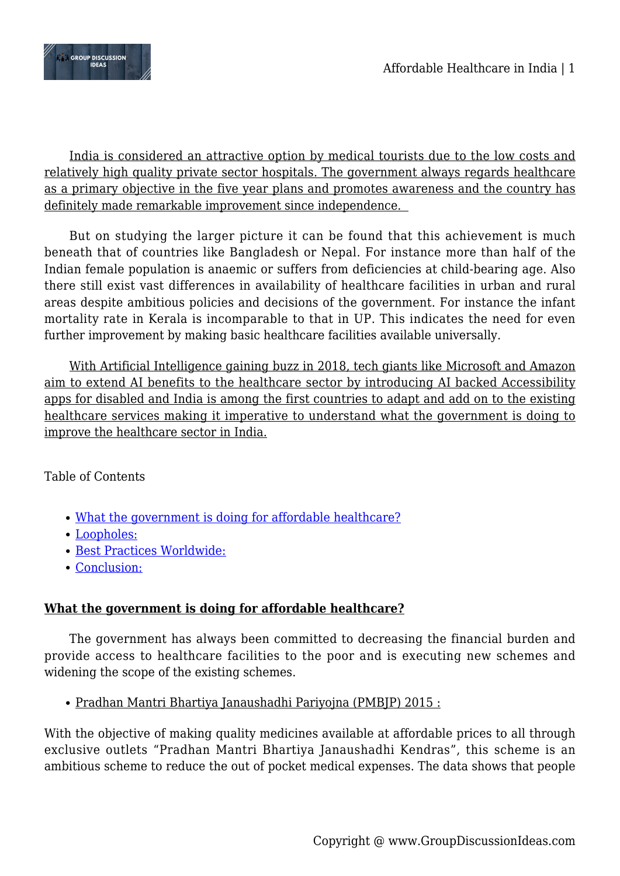

India is considered an attractive option by medical tourists due to the low costs and relatively high quality private sector hospitals. The government always regards healthcare as a primary objective in the five year plans and promotes awareness and the country has definitely made remarkable improvement since independence.

But on studying the larger picture it can be found that this achievement is much beneath that of countries like Bangladesh or Nepal. For instance more than half of the Indian female population is anaemic or suffers from deficiencies at child-bearing age. Also there still exist vast differences in availability of healthcare facilities in urban and rural areas despite ambitious policies and decisions of the government. For instance the infant mortality rate in Kerala is incomparable to that in UP. This indicates the need for even further improvement by making basic healthcare facilities available universally.

With Artificial Intelligence gaining buzz in 2018, tech giants like Microsoft and Amazon aim to extend AI benefits to the healthcare sector by introducing AI backed Accessibility apps for disabled and India is among the first countries to adapt and add on to the existing healthcare services making it imperative to understand what the government is doing to improve the healthcare sector in India.

Table of Contents

- [What the government is doing for affordable healthcare?](#page--1-0)
- [Loopholes:](#page--1-0)
- [Best Practices Worldwide:](#page--1-0)
- [Conclusion:](#page--1-0)

# **What the government is doing for affordable healthcare?**

The government has always been committed to decreasing the financial burden and provide access to healthcare facilities to the poor and is executing new schemes and widening the scope of the existing schemes.

Pradhan Mantri Bhartiya Janaushadhi Pariyojna (PMBJP) 2015 :

With the objective of making quality medicines available at affordable prices to all through exclusive outlets "Pradhan Mantri Bhartiya Janaushadhi Kendras", this scheme is an ambitious scheme to reduce the out of pocket medical expenses. The data shows that people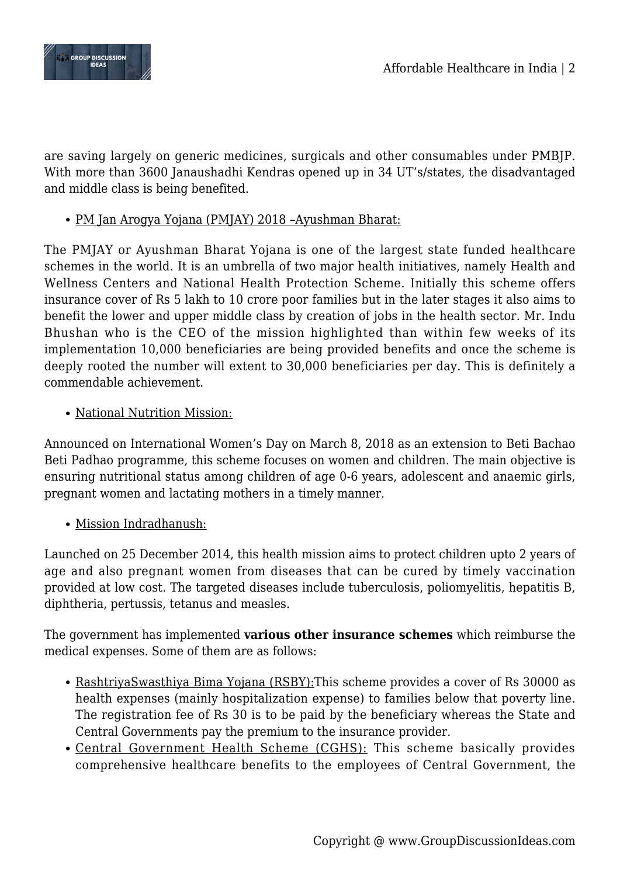



are saving largely on generic medicines, surgicals and other consumables under PMBJP. With more than 3600 Janaushadhi Kendras opened up in 34 UT's/states, the disadvantaged and middle class is being benefited.

### PM Jan Arogya Yojana (PMJAY) 2018 –Ayushman Bharat:

The PMJAY or Ayushman Bharat Yojana is one of the largest state funded healthcare schemes in the world. It is an umbrella of two major health initiatives, namely Health and Wellness Centers and National Health Protection Scheme. Initially this scheme offers insurance cover of Rs 5 lakh to 10 crore poor families but in the later stages it also aims to benefit the lower and upper middle class by creation of jobs in the health sector. Mr. Indu Bhushan who is the CEO of the mission highlighted than within few weeks of its implementation 10,000 beneficiaries are being provided benefits and once the scheme is deeply rooted the number will extent to 30,000 beneficiaries per day. This is definitely a commendable achievement.

### • National Nutrition Mission:

Announced on International Women's Day on March 8, 2018 as an extension to Beti Bachao Beti Padhao programme, this scheme focuses on women and children. The main objective is ensuring nutritional status among children of age 0-6 years, adolescent and anaemic girls, pregnant women and lactating mothers in a timely manner.

Mission Indradhanush:

Launched on 25 December 2014, this health mission aims to protect children upto 2 years of age and also pregnant women from diseases that can be cured by timely vaccination provided at low cost. The targeted diseases include tuberculosis, poliomyelitis, hepatitis B, diphtheria, pertussis, tetanus and measles.

The government has implemented **various other insurance schemes** which reimburse the medical expenses. Some of them are as follows:

- RashtriyaSwasthiya Bima Yojana (RSBY):This scheme provides a cover of Rs 30000 as health expenses (mainly hospitalization expense) to families below that poverty line. The registration fee of Rs 30 is to be paid by the beneficiary whereas the State and Central Governments pay the premium to the insurance provider.
- Central Government Health Scheme (CGHS): This scheme basically provides comprehensive healthcare benefits to the employees of Central Government, the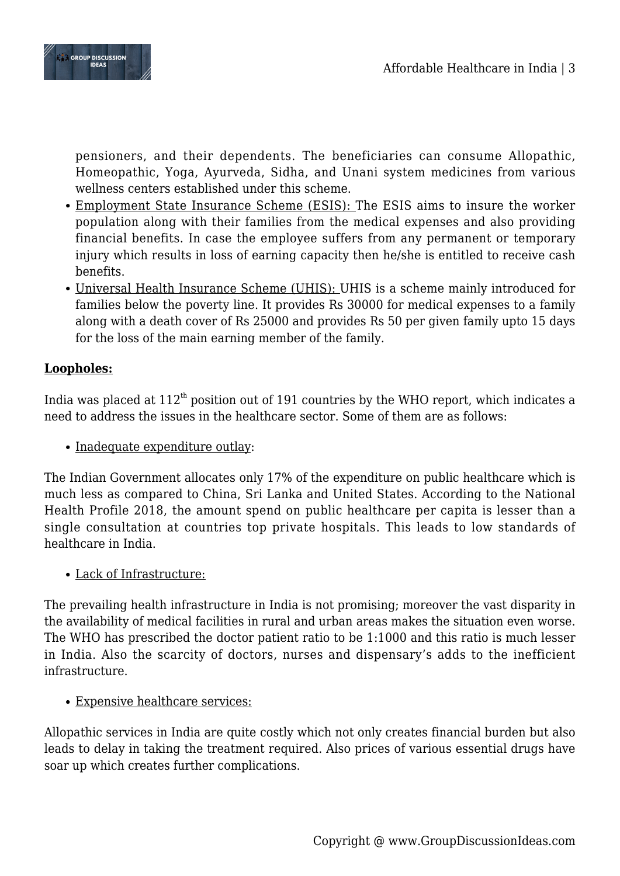

pensioners, and their dependents. The beneficiaries can consume Allopathic, Homeopathic, Yoga, Ayurveda, Sidha, and Unani system medicines from various wellness centers established under this scheme.

- Employment State Insurance Scheme (ESIS): The ESIS aims to insure the worker population along with their families from the medical expenses and also providing financial benefits. In case the employee suffers from any permanent or temporary injury which results in loss of earning capacity then he/she is entitled to receive cash benefits.
- Universal Health Insurance Scheme (UHIS): UHIS is a scheme mainly introduced for families below the poverty line. It provides Rs 30000 for medical expenses to a family along with a death cover of Rs 25000 and provides Rs 50 per given family upto 15 days for the loss of the main earning member of the family.

## **Loopholes:**

India was placed at  $112<sup>th</sup>$  position out of 191 countries by the WHO report, which indicates a need to address the issues in the healthcare sector. Some of them are as follows:

• Inadequate expenditure outlay:

The Indian Government allocates only 17% of the expenditure on public healthcare which is much less as compared to China, Sri Lanka and United States. According to the National Health Profile 2018, the amount spend on public healthcare per capita is lesser than a single consultation at countries top private hospitals. This leads to low standards of healthcare in India.

Lack of Infrastructure:

The prevailing health infrastructure in India is not promising; moreover the vast disparity in the availability of medical facilities in rural and urban areas makes the situation even worse. The WHO has prescribed the doctor patient ratio to be 1:1000 and this ratio is much lesser in India. Also the scarcity of doctors, nurses and dispensary's adds to the inefficient infrastructure.

#### Expensive healthcare services:

Allopathic services in India are quite costly which not only creates financial burden but also leads to delay in taking the treatment required. Also prices of various essential drugs have soar up which creates further complications.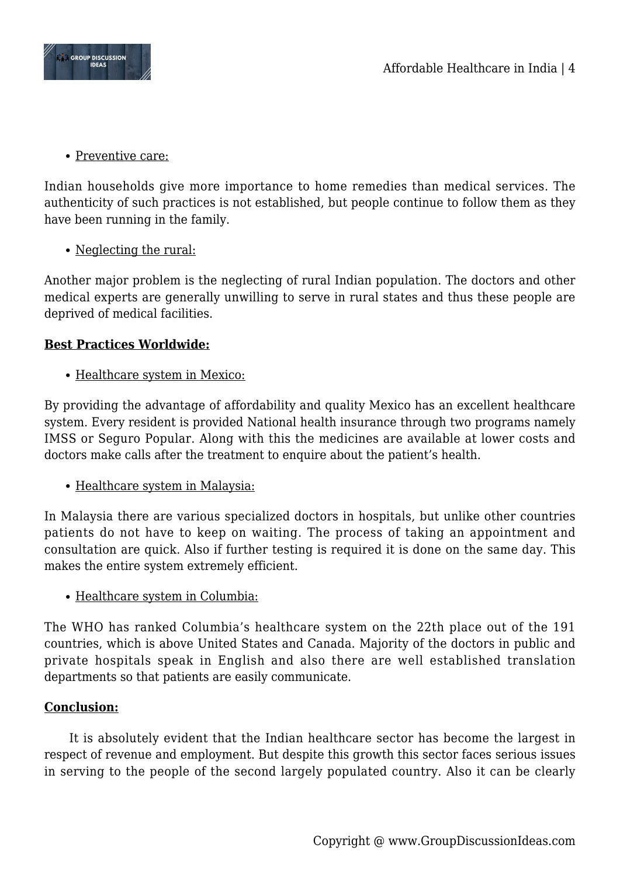

• Preventive care:

Indian households give more importance to home remedies than medical services. The authenticity of such practices is not established, but people continue to follow them as they have been running in the family.

• Neglecting the rural:

Another major problem is the neglecting of rural Indian population. The doctors and other medical experts are generally unwilling to serve in rural states and thus these people are deprived of medical facilities.

### **Best Practices Worldwide:**

• Healthcare system in Mexico:

By providing the advantage of affordability and quality Mexico has an excellent healthcare system. Every resident is provided National health insurance through two programs namely IMSS or Seguro Popular. Along with this the medicines are available at lower costs and doctors make calls after the treatment to enquire about the patient's health.

• Healthcare system in Malaysia:

In Malaysia there are various specialized doctors in hospitals, but unlike other countries patients do not have to keep on waiting. The process of taking an appointment and consultation are quick. Also if further testing is required it is done on the same day. This makes the entire system extremely efficient.

• Healthcare system in Columbia:

The WHO has ranked Columbia's healthcare system on the 22th place out of the 191 countries, which is above United States and Canada. Majority of the doctors in public and private hospitals speak in English and also there are well established translation departments so that patients are easily communicate.

#### **Conclusion:**

It is absolutely evident that the Indian healthcare sector has become the largest in respect of revenue and employment. But despite this growth this sector faces serious issues in serving to the people of the second largely populated country. Also it can be clearly